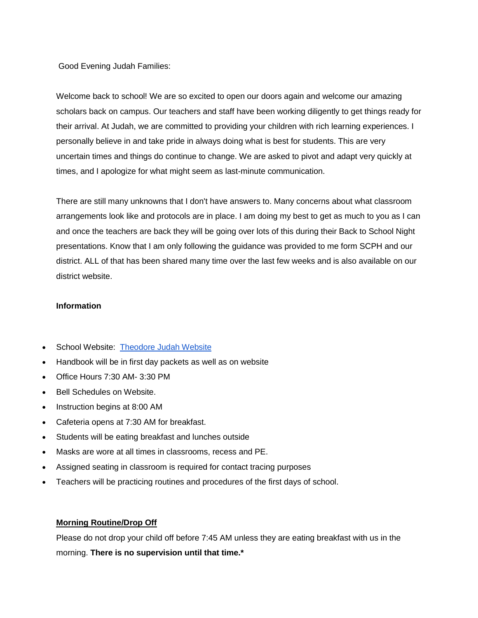Good Evening Judah Families:

Welcome back to school! We are so excited to open our doors again and welcome our amazing scholars back on campus. Our teachers and staff have been working diligently to get things ready for their arrival. At Judah, we are committed to providing your children with rich learning experiences. I personally believe in and take pride in always doing what is best for students. This are very uncertain times and things do continue to change. We are asked to pivot and adapt very quickly at times, and I apologize for what might seem as last-minute communication.

There are still many unknowns that I don't have answers to. Many concerns about what classroom arrangements look like and protocols are in place. I am doing my best to get as much to you as I can and once the teachers are back they will be going over lots of this during their Back to School Night presentations. Know that I am only following the guidance was provided to me form SCPH and our district. ALL of that has been shared many time over the last few weeks and is also available on our district website.

### **Information**

- School Website: [Theodore Judah Website](https://www.theodorejudahelementary.org/)
- Handbook will be in first day packets as well as on website
- Office Hours 7:30 AM- 3:30 PM
- Bell Schedules on Website.
- Instruction begins at 8:00 AM
- Cafeteria opens at 7:30 AM for breakfast.
- Students will be eating breakfast and lunches outside
- Masks are wore at all times in classrooms, recess and PE.
- Assigned seating in classroom is required for contact tracing purposes
- Teachers will be practicing routines and procedures of the first days of school.

#### **Morning Routine/Drop Off**

Please do not drop your child off before 7:45 AM unless they are eating breakfast with us in the morning. **There is no supervision until that time.\***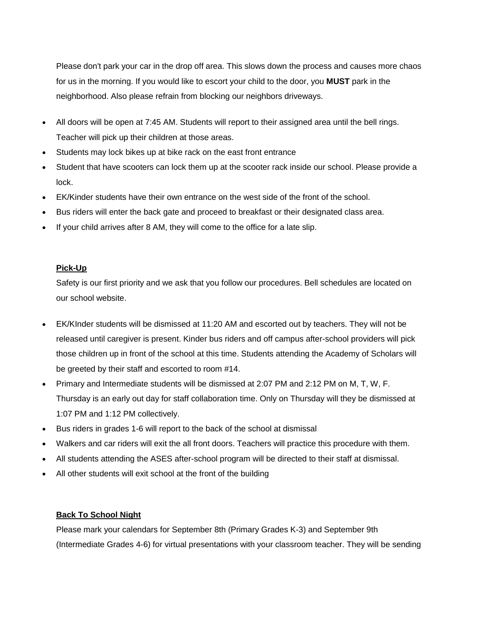Please don't park your car in the drop off area. This slows down the process and causes more chaos for us in the morning. If you would like to escort your child to the door, you **MUST** park in the neighborhood. Also please refrain from blocking our neighbors driveways.

- All doors will be open at 7:45 AM. Students will report to their assigned area until the bell rings. Teacher will pick up their children at those areas.
- Students may lock bikes up at bike rack on the east front entrance
- Student that have scooters can lock them up at the scooter rack inside our school. Please provide a lock.
- EK/Kinder students have their own entrance on the west side of the front of the school.
- Bus riders will enter the back gate and proceed to breakfast or their designated class area.
- If your child arrives after 8 AM, they will come to the office for a late slip.

## **Pick-Up**

Safety is our first priority and we ask that you follow our procedures. Bell schedules are located on our school website.

- EK/KInder students will be dismissed at 11:20 AM and escorted out by teachers. They will not be released until caregiver is present. Kinder bus riders and off campus after-school providers will pick those children up in front of the school at this time. Students attending the Academy of Scholars will be greeted by their staff and escorted to room #14.
- Primary and Intermediate students will be dismissed at 2:07 PM and 2:12 PM on M, T, W, F. Thursday is an early out day for staff collaboration time. Only on Thursday will they be dismissed at 1:07 PM and 1:12 PM collectively.
- Bus riders in grades 1-6 will report to the back of the school at dismissal
- Walkers and car riders will exit the all front doors. Teachers will practice this procedure with them.
- All students attending the ASES after-school program will be directed to their staff at dismissal.
- All other students will exit school at the front of the building

# **Back To School Night**

Please mark your calendars for September 8th (Primary Grades K-3) and September 9th (Intermediate Grades 4-6) for virtual presentations with your classroom teacher. They will be sending